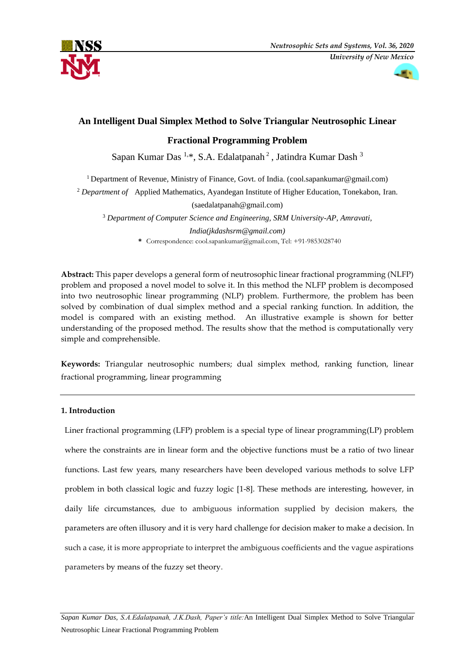



# **An Intelligent Dual Simplex Method to Solve Triangular Neutrosophic Linear**

# **Fractional Programming Problem**

Sapan Kumar Das<sup>1,\*</sup>, S.A. Edalatpanah<sup>2</sup>, Jatindra Kumar Dash<sup>3</sup>

<sup>1</sup>Department of Revenue, Ministry of Finance, Govt. of India. [\(cool.sapankumar@gmail.com\)](mailto:cool.sapankumar@gmail.com)

<sup>2</sup> *Department of* Applied Mathematics, Ayandegan Institute of Higher Education, Tonekabon, Iran.

(saedalatpanah@gmail.com)

<sup>3</sup> *Department of Computer Science and Engineering, SRM University-AP, Amravati,* 

*India(jkdashsrm@gmail.com)* **\*** Correspondence: [cool.sapankumar@gmail.com,](mailto:cool.sapankumar@gmail.com) Tel: +91-9853028740

**Abstract:** This paper develops a general form of neutrosophic linear fractional programming (NLFP) problem and proposed a novel model to solve it. In this method the NLFP problem is decomposed into two neutrosophic linear programming (NLP) problem. Furthermore, the problem has been solved by combination of dual simplex method and a special ranking function. In addition, the model is compared with an existing method. An illustrative example is shown for better understanding of the proposed method. The results show that the method is computationally very simple and comprehensible.

**Keywords:** Triangular neutrosophic numbers; dual simplex method, ranking function, linear fractional programming, linear programming

# **1. Introduction**

Liner fractional programming (LFP) problem is a special type of linear programming(LP) problem where the constraints are in linear form and the objective functions must be a ratio of two linear functions. Last few years, many researchers have been developed various methods to solve LFP problem in both classical logic and fuzzy logic [1-8]. These methods are interesting, however, in daily life circumstances, due to ambiguous information supplied by decision makers, the parameters are often illusory and it is very hard challenge for decision maker to make a decision. In such a case, it is more appropriate to interpret the ambiguous coefficients and the vague aspirations parameters by means of the fuzzy set theory.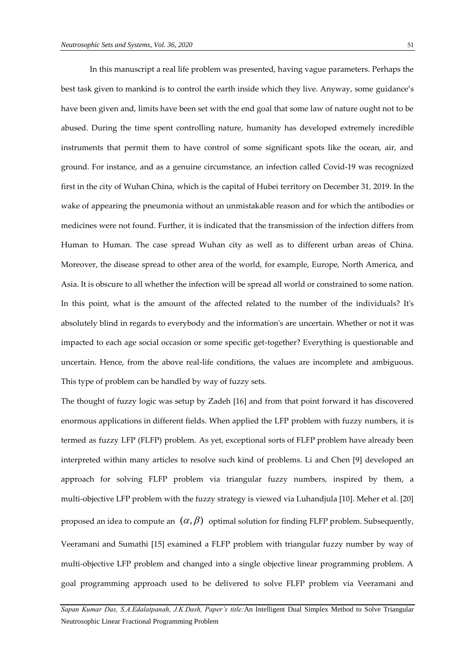In this manuscript a real life problem was presented, having vague parameters. Perhaps the best task given to mankind is to control the earth inside which they live. Anyway, some guidance's have been given and, limits have been set with the end goal that some law of nature ought not to be abused. During the time spent controlling nature, humanity has developed extremely incredible instruments that permit them to have control of some significant spots like the ocean, air, and ground. For instance, and as a genuine circumstance, an infection called Covid-19 was recognized first in the city of Wuhan China, which is the capital of Hubei territory on December 31, 2019. In the wake of appearing the pneumonia without an unmistakable reason and for which the antibodies or medicines were not found. Further, it is indicated that the transmission of the infection differs from Human to Human. The case spread Wuhan city as well as to different urban areas of China. Moreover, the disease spread to other area of the world, for example, Europe, North America, and Asia. It is obscure to all whether the infection will be spread all world or constrained to some nation. In this point, what is the amount of the affected related to the number of the individuals? It's absolutely blind in regards to everybody and the information's are uncertain. Whether or not it was impacted to each age social occasion or some specific get-together? Everything is questionable and uncertain. Hence, from the above real-life conditions, the values are incomplete and ambiguous. This type of problem can be handled by way of fuzzy sets.

The thought of fuzzy logic was setup by Zadeh [16] and from that point forward it has discovered enormous applications in different fields. When applied the LFP problem with fuzzy numbers, it is termed as fuzzy LFP (FLFP) problem. As yet, exceptional sorts of FLFP problem have already been interpreted within many articles to resolve such kind of problems. Li and Chen [9] developed an approach for solving FLFP problem via triangular fuzzy numbers, inspired by them, a multi-objective LFP problem with the fuzzy strategy is viewed via Luhandjula [10]. Meher et al. [20] proposed an idea to compute an  $(\alpha, \beta)$  optimal solution for finding FLFP problem. Subsequently, Veeramani and Sumathi [15] examined a FLFP problem with triangular fuzzy number by way of multi-objective LFP problem and changed into a single objective linear programming problem. A goal programming approach used to be delivered to solve FLFP problem via Veeramani and

*Sapan Kumar Das, S.A.Edalatpanah, J.K.Dash, Paper's title:*An Intelligent Dual Simplex Method to Solve Triangular Neutrosophic Linear Fractional Programming Problem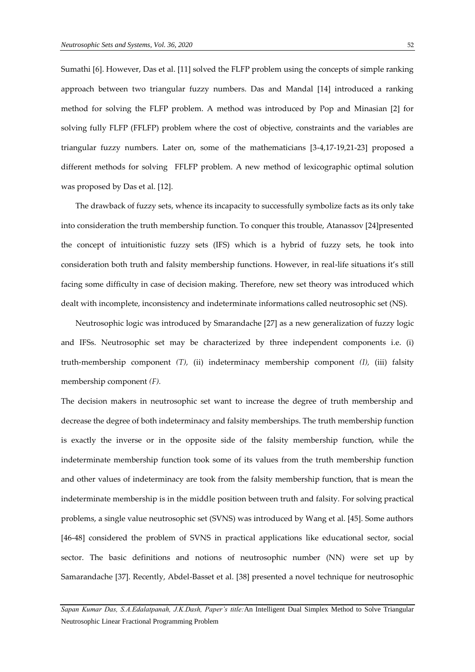Sumathi [6]. However, Das et al. [11] solved the FLFP problem using the concepts of simple ranking approach between two triangular fuzzy numbers. Das and Mandal [14] introduced a ranking method for solving the FLFP problem. A method was introduced by Pop and Minasian [2] for solving fully FLFP (FFLFP) problem where the cost of objective, constraints and the variables are triangular fuzzy numbers. Later on, some of the mathematicians [3-4,17-19,21-23] proposed a different methods for solving FFLFP problem. A new method of lexicographic optimal solution was proposed by Das et al. [12].

The drawback of fuzzy sets, whence its incapacity to successfully symbolize facts as its only take into consideration the truth membership function. To conquer this trouble, Atanassov [24]presented the concept of intuitionistic fuzzy sets (IFS) which is a hybrid of fuzzy sets, he took into consideration both truth and falsity membership functions. However, in real-life situations it's still facing some difficulty in case of decision making. Therefore, new set theory was introduced which dealt with incomplete, inconsistency and indeterminate informations called neutrosophic set (NS).

Neutrosophic logic was introduced by Smarandache [27] as a new generalization of fuzzy logic and IFSs. Neutrosophic set may be characterized by three independent components i.e. (i) truth-membership component *(T),* (ii) indeterminacy membership component *(I),* (iii) falsity membership component *(F).*

The decision makers in neutrosophic set want to increase the degree of truth membership and decrease the degree of both indeterminacy and falsity memberships. The truth membership function is exactly the inverse or in the opposite side of the falsity membership function, while the indeterminate membership function took some of its values from the truth membership function and other values of indeterminacy are took from the falsity membership function, that is mean the indeterminate membership is in the middle position between truth and falsity. For solving practical problems, a single value neutrosophic set (SVNS) was introduced by Wang et al. [45]. Some authors [46-48] considered the problem of SVNS in practical applications like educational sector, social sector. The basic definitions and notions of neutrosophic number (NN) were set up by Samarandache [37]. Recently, Abdel-Basset et al. [38] presented a novel technique for neutrosophic

*Sapan Kumar Das, S.A.Edalatpanah, J.K.Dash, Paper's title:*An Intelligent Dual Simplex Method to Solve Triangular Neutrosophic Linear Fractional Programming Problem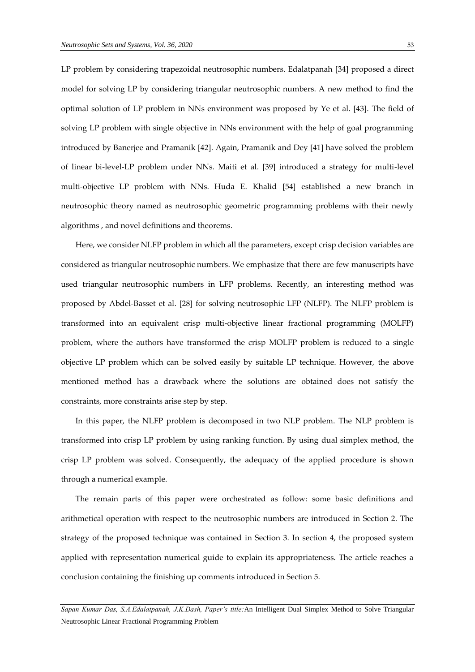LP problem by considering trapezoidal neutrosophic numbers. Edalatpanah [34] proposed a direct model for solving LP by considering triangular neutrosophic numbers. A new method to find the optimal solution of LP problem in NNs environment was proposed by Ye et al. [43]. The field of solving LP problem with single objective in NNs environment with the help of goal programming introduced by Banerjee and Pramanik [42]. Again, Pramanik and Dey [41] have solved the problem of linear bi-level-LP problem under NNs. Maiti et al. [39] introduced a strategy for multi-level multi-objective LP problem with NNs. Huda E. Khalid [54] established a new branch in neutrosophic theory named as neutrosophic geometric programming problems with their newly algorithms , and novel definitions and theorems.

Here, we consider NLFP problem in which all the parameters, except crisp decision variables are considered as triangular neutrosophic numbers. We emphasize that there are few manuscripts have used triangular neutrosophic numbers in LFP problems. Recently, an interesting method was proposed by Abdel-Basset et al. [28] for solving neutrosophic LFP (NLFP). The NLFP problem is transformed into an equivalent crisp multi-objective linear fractional programming (MOLFP) problem, where the authors have transformed the crisp MOLFP problem is reduced to a single objective LP problem which can be solved easily by suitable LP technique. However, the above mentioned method has a drawback where the solutions are obtained does not satisfy the constraints, more constraints arise step by step.

In this paper, the NLFP problem is decomposed in two NLP problem. The NLP problem is transformed into crisp LP problem by using ranking function. By using dual simplex method, the crisp LP problem was solved. Consequently, the adequacy of the applied procedure is shown through a numerical example.

The remain parts of this paper were orchestrated as follow: some basic definitions and arithmetical operation with respect to the neutrosophic numbers are introduced in Section 2. The strategy of the proposed technique was contained in Section 3. In section 4, the proposed system applied with representation numerical guide to explain its appropriateness. The article reaches a conclusion containing the finishing up comments introduced in Section 5.

*Sapan Kumar Das, S.A.Edalatpanah, J.K.Dash, Paper's title:*An Intelligent Dual Simplex Method to Solve Triangular Neutrosophic Linear Fractional Programming Problem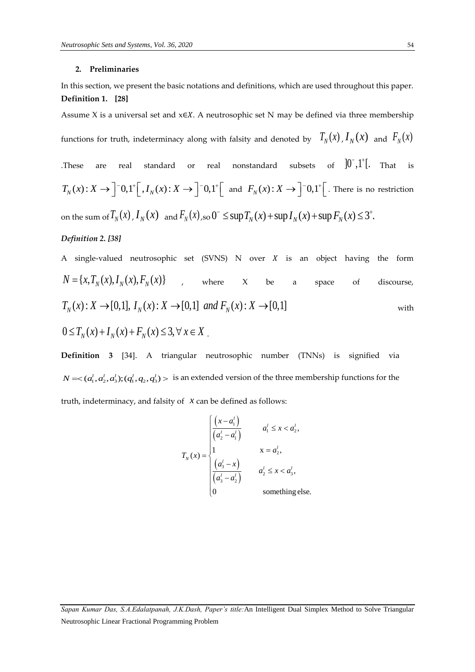#### **2. Preliminaries**

In this section, we present the basic notations and definitions, which are used throughout this paper. **Definition 1. [28]**

Assume X is a universal set and  $x \in X$ . A neutrosophic set N may be defined via three membership

functions for truth, indeterminacy along with falsity and denoted by  $\;\; T_N^{}(x)$  ,  $I_N^{}(x)$  and  $\; F_N^{}(x)$ 

These are real standard or real nonstandard subsets of  $]0^-,1^+[$ . That is  $T_N(x) : X \to \int_0^1 0, 1 \, \cdot \left[ \int_0^1 I_N(x) \cdot X \to \int_0^1 0, 1 \, \cdot \left[ \int_0^1 I_N(x) \cdot X \to \int_0^1 I_N(x) \right] dx$ and  $F_N(x)$ :  $X \to \left]$  <sup>-</sup> 0,1<sup>+</sup>  $\left[$ . There is no restriction on the sum of  $T_N(x)$ ,  $I_N(x)$  and  $F_N(x)$ , so  $0^- \le \sup T_N(x) + \sup T_N(x) + \sup F_N(x) \le 3^+$ .

# *Definition 2. [38]*

A single-valued neutrosophic set (SVNS) N over  $X$  is an object having the form  $N = {x, T_N(x), I_N(x), F_N(x)}$  , where X be a space of discourse,  $N = \{ x, T_N(x), I_N(x), F_N(x) \}$ , where X be a<br> $T_N(x) : X \to [0,1], I_N(x) : X \to [0,1]$  and  $F_N(x) : X \to [0,1]$ with  $0 \le T_{N}(x) + I_{N}(x) + F_{N}(x) \le 3, \forall x \in X$ .

**Definition 3** [34]. A triangular neutrosophic number (TNNs) is signified via  $N = <(a_1^l, a_2^l, a_3^l); (q_1^l, q_2, q_3^l) >$  is an extended version of the three membership functions for the truth, indeterminacy, and falsity of *x* can be defined as follows:

$$
T_N(x) = \begin{cases} \frac{\left(x - a'_1\right)}{\left(a'_2 - a'_1\right)} & a'_1 \le x < a'_2, \\ 1 & x = a'_2, \\ \frac{\left(a'_3 - x\right)}{\left(a'_3 - a'_2\right)} & a'_2 \le x < a'_3, \\ 0 & \text{something else.} \end{cases}
$$

*Sapan Kumar Das, S.A.Edalatpanah, J.K.Dash, Paper's title:*An Intelligent Dual Simplex Method to Solve Triangular Neutrosophic Linear Fractional Programming Problem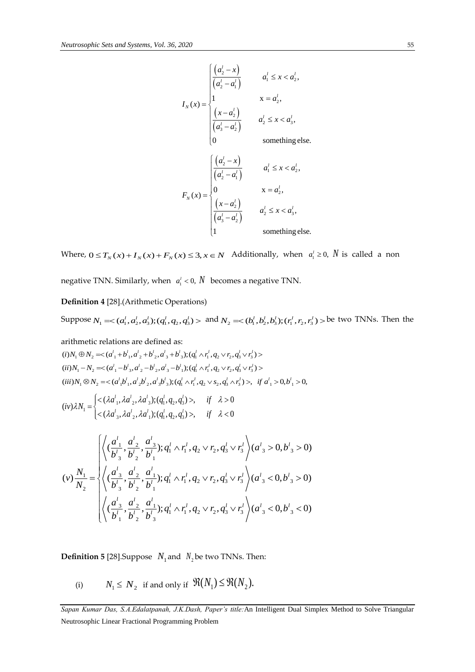$$
I_{N}(x) = \begin{cases} \frac{(a_{2}^{l} - x)}{(a_{2}^{l} - a_{1}^{l})} & a_{1}^{l} \leq x < a_{2}^{l}, \\ 1 & x = a_{2}^{l}, \\ \frac{(x - a_{2}^{l})}{(a_{3}^{l} - a_{2}^{l})} & a_{2}^{l} \leq x < a_{3}^{l}, \\ 0 & \text{something else.} \end{cases}
$$

$$
F_{N}(x) = \begin{cases} \frac{(a_{2}^{l} - x)}{(a_{2}^{l} - a_{1}^{l})} & a_{1}^{l} \leq x < a_{2}^{l}, \\ 0 & x = a_{2}^{l}, \\ \frac{(x - a_{2}^{l})}{(a_{3}^{l} - a_{2}^{l})} & a_{2}^{l} \leq x < a_{3}^{l}, \\ 1 & \text{something else.} \end{cases}
$$

Where,  $0 \le T_N(x) + I_N(x) + F_N(x) \le 3, x \in N$  Additionally, when  $a_1^l \ge 0$ , N is called a non

negative TNN. Similarly, when  $a_1^l < 0$ ,  $N$  becomes a negative TNN.

**Definition 4** [28].(Arithmetic Operations)

Suppose  $N_1 = \langle (a_1^l, a_2^l, a_3^l); (q_1^l, q_2, q_3^l) \rangle$  and  $N_2 = \langle (b_1^l, b_2^l, b_3^l); (r_1^l, r_2, r_3^l) \rangle$  be two TNNs. Then the

arithmetic relations are defined as:

arithmetic relations are defined as:  
\n(i) 
$$
N_1 \oplus N_2 = \langle (a'_1 + b'_1, a'_2 + b'_2, a'_3 + b'_3); (q'_1 \wedge r'_1, q_2 \vee r_2, q'_3 \vee r'_3) \rangle
$$
  
\n(ii)  $N_1 - N_2 = \langle (a'_1 - b'_3, a'_2 - b'_2, a'_3 - b'_1); (q'_1 \wedge r'_1, q_2 \vee r_2, q'_3 \vee r'_3) \rangle$   
\n(iii)  $N_1 \otimes N_2 = \langle (a'_1 b'_1, a'_2 b'_2, a'_3 b'_3); (q'_1 \wedge r'_1, q_2 \vee s_2, q'_3 \wedge r'_3) \rangle$ , if  $a'_1 > 0, b'_1 > 0$ ,  
\n(iv)  $\lambda N = \int_{0}^{1} \langle ( \lambda a'_1, \lambda a'_2, \lambda a'_3); (q'_1, q_2, q'_3) \rangle$ , if  $\lambda > 0$ 

$$
(iv)\lambda N_1 = \begin{cases} <(\lambda a_1^1, \lambda a_2^1, \lambda a_3^1); (q_1^1, q_2, q_3^1)>, & \text{if } \lambda > 0 \\ <(\lambda a_3^1, \lambda a_2^1, \lambda a_1^1); (q_1^1, q_2, q_3^1)>, & \text{if } \lambda < 0 \end{cases}
$$

$$
I_{N}(x) = \begin{vmatrix} \frac{a_{1}^{2} - x_{1}^{2}}{a_{1}^{2} - a_{1}^{2}} & a_{1}^{2} \leq x < a_{1}^{2}, \\ 0 & 0 & x < a_{2}^{2}, \\ 0 & 0 & \text{something else.} \end{vmatrix}
$$
\n
$$
I_{N}(x) = \begin{vmatrix} \frac{a_{1}^{2} - x_{1}^{2}}{a_{1}^{2} - a_{2}^{2}} & a_{1}^{2} \leq x < a_{1}^{2}, \\ 0 & 0 & \text{something else.} \end{vmatrix}
$$
\n
$$
F_{N}(x) = \begin{vmatrix} \frac{a_{1}^{2} - x_{1}^{2}}{a_{1}^{2} - a_{2}^{2}} & a_{1}^{2} \leq x < a_{1}^{2}, \\ 0 & x < a_{2}^{2}, \\ 0 & 0 & x < a_{2}^{2}, \\ 0 & 0 & x < a_{2}^{2}, \\ 0 & 0 & x < a_{2}^{2}, \end{vmatrix}
$$
\n
$$
I_{N}(x) = P_{N}(x) = \begin{cases} \frac{a_{1}^{2} - a_{1}^{2}}{a_{1}^{2} - a_{2}^{2}} & a_{1}^{2} \leq x < a_{1}^{2}, \\ 0 & x < a_{2}^{2}, \\ 0 & 0 & x < a_{2}^{2}, \\ 0 & 0 & x < a_{2}^{2}, \\ 0 & 0 & x < a_{2}^{2}, \\ 0 & 0 & x < a_{2}^{2}, \\ 0 & 0 & x < a_{2}^{2}, \\ 0 & 0 & 0 & x < a_{2}^{2}, \\ 0 & 0 & 0 & x < a_{2}^{2}, \\ 0 & 0 & 0 & x < a_{2}^{2}, \\ 0 & 0 & 0 & x < a_{2}^{2}, \\ 0 & 0 & 0 & 0 & x < a_{2}^{2}, \\ 0 & 0 & 0 & 0 & x < a_{2}^{2}, \\ 0 & 0 & 0 & 0 & x < a_{2}^{2}, \\ 0 & 0 & 0 & 0 & 0 & x < a_{2}^{2}, \\ 0 & 0 & 0 & 0 & 0 & x < a_{2}^{2}, \\
$$

**Definition 5** [28]. Suppose  $N_1$  and  $N_2$  be two TNNs. Then:

(i)  $N_{1}\leq N_{2}$  if and only if  $\ \mathfrak{R}(N_{1})\!\leq\!\mathfrak{R}(N_{2}).$ 

*Sapan Kumar Das, S.A.Edalatpanah, J.K.Dash, Paper's title:*An Intelligent Dual Simplex Method to Solve Triangular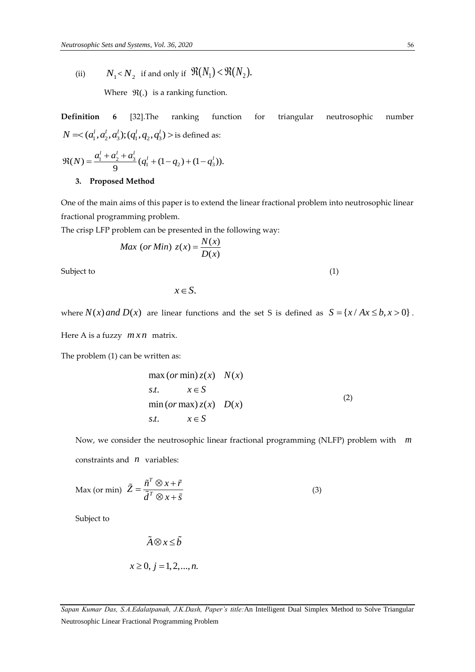(ii)  $N_{1}$  <  $N_{2}$  if and only if  $\mathfrak{R}(N_{1})$  <  $\mathfrak{R}(N_{2})$ .

Where  $\mathfrak{R}(.)$  is a ranking function.

**Definition 6** [32].The ranking function for triangular neutrosophic number

$$
N = <(a'_1, a'_2, a'_3); (q'_1, q_2, q'_3) > \text{is defined as:}
$$
  

$$
\mathfrak{R}(N) = \frac{a'_1 + a'_2 + a'_3}{9} (q'_1 + (1 - q_2) + (1 - q'_3)).
$$

## **3. Proposed Method**

One of the main aims of this paper is to extend the linear fractional problem into neutrosophic linear fractional programming problem.

The crisp LFP problem can be presented in the following way:  
\n
$$
Max (or Min) z(x) = \frac{N(x)}{D(x)}
$$

Subject to (1)

$$
x \in S.
$$

where  $N(x)$  *and*  $D(x)$  are linear functions and the set S is defined as  $S = \{x / Ax \le b, x > 0\}$ .

Here A is a fuzzy *m x n* matrix.

The problem (1) can be written as:

$$
\max (or \min) z(x) \quad N(x)
$$
  
s.t.  $x \in S$   

$$
\min (or \max) z(x) \quad D(x)
$$
  
s.t.  $x \in S$  (2)

Now, we consider the neutrosophic linear fractional programming (NLFP) problem with *m* constraints and *n* variables:

$$
\text{Max (or min)} \quad \tilde{Z} = \frac{\tilde{n}^T \otimes x + \tilde{r}}{\tilde{d}^T \otimes x + \tilde{s}}
$$
\n<sup>(3)</sup>

Subject to

$$
\tilde{A} \otimes x \le \tilde{b}
$$
  

$$
x \ge 0, j = 1, 2, ..., n.
$$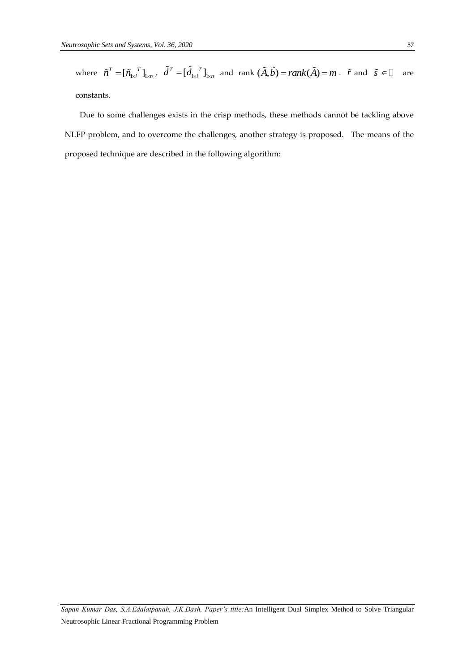where  $\tilde{n}^T = [\tilde{n}_{1\times i}^T]_{1\times n}$ ,  $\tilde{d}^T = [\tilde{d}_{1\times i}^T]_{1\times n}$  and rank  $(\tilde{A}, \tilde{b}) = rank(\tilde{A}) = m$ .  $\tilde{r}$  and  $\tilde{s} \in \Box$  are constants.

 Due to some challenges exists in the crisp methods, these methods cannot be tackling above NLFP problem, and to overcome the challenges, another strategy is proposed. The means of the proposed technique are described in the following algorithm:

*Sapan Kumar Das, S.A.Edalatpanah, J.K.Dash, Paper's title:*An Intelligent Dual Simplex Method to Solve Triangular Neutrosophic Linear Fractional Programming Problem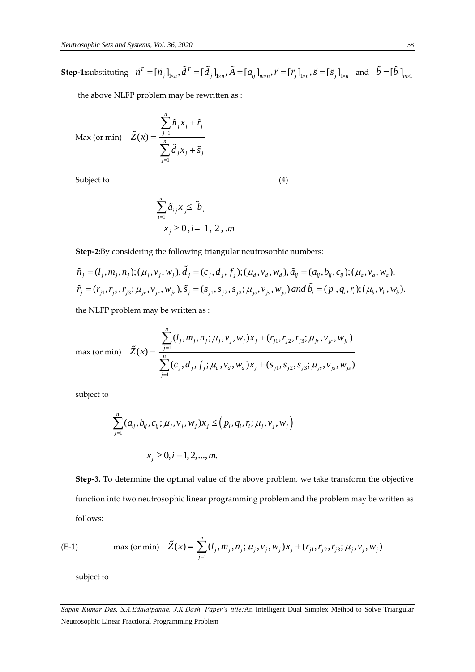**Step-1:**substituting  $\tilde{n}^T = [\tilde{n}_j]_{1 \times n}$ ,  $\tilde{d}^T = [\tilde{d}_j]_{1 \times n}$ ,  $\tilde{A} = [a_{ij}]_{m \times n}$ ,  $\tilde{r} = [\tilde{r}_j]_{1 \times n}$ ,  $\tilde{s} = [\tilde{s}_j]_{1 \times n}$  and  $\tilde{b} = [\tilde{b}_i]_{m \times 1}$ 

the above NLFP problem may be rewritten as :

*n*

 $\sum$ 

*j n*

 $\overline{a}$ 

1

 $\overline{a}$ 

 $\sum$ 

*j*

Max (or min)  $\tilde{Z}(x) = \frac{j-1}{n}$ 

Subject to (4)

$$
\sum_{i=1}^{m} \tilde{a}_{i,j} x_{j} \leq \tilde{b}_{i}
$$
  

$$
x_{j} \geq 0, i = 1, 2, m
$$

 $i^{\lambda}$ *j*  $j$ 

 $\ddot{}$ 

 $\tilde{n}$ <sub>*i*</sub> $x$ <sub>*i*</sub> +  $\tilde{r}$ 

 $j^{\mathcal{A}}j^{\mathcal{A}}j^{\mathcal{B}}$ 

 $\overline{+}$ 

 $d_i x_i + \tilde{s}$ 

**Step-2:**By considering the following triangular neutrosophic numbers:

$$
x_j \ge 0, l = 1, 2, Jm
$$
  
Step-2:By considering the following triangular neutrosophic numbers:  

$$
\tilde{n}_j = (l_j, m_j, n_j); (\mu_j, v_j, w_j), \tilde{d}_j = (c_j, d_j, f_j); (\mu_d, v_d, w_d), \tilde{a}_{ij} = (a_{ij}, b_{ij}, c_{ij}); (\mu_a, v_a, w_a),
$$

$$
\tilde{r}_j = (r_{j1}, r_{j2}, r_{j3}; \mu_j, v_{jr}, w_{jr}), \tilde{s}_j = (s_{j1}, s_{j2}, s_{j3}; \mu_j, v_{js}, w_{js}) \text{ and } \tilde{b}_i = (p_i, q_i, r_i); (\mu_b, v_b, w_b).
$$

the NLFP problem may be written as :

max (or min) 
$$
\tilde{Z}(x) = \frac{\sum_{j=1}^{n} (l_j, m_j, n_j; \mu_j, v_j, w_j) x_j + (r_{j1}, r_{j2}, r_{j3}; \mu_j, v_{jr}, w_{jr})}{\sum_{j=1}^{n} (c_j, d_j, f_j; \mu_d, v_d, w_d) x_j + (s_{j1}, s_{j2}, s_{j3}; \mu_{js}, v_{js}, w_{js})}
$$

subject to

$$
\sum_{j=1}^{n} (a_{ij}, b_{ij}, c_{ij}; \mu_j, v_j, w_j) x_j \le (p_i, q_i, r_i; \mu_j, v_j, w_j)
$$
  

$$
x_j \ge 0, i = 1, 2, ..., m.
$$

**Step-3.** To determine the optimal value of the above problem, we take transform the objective function into two neutrosophic linear programming problem and the problem may be written as follows:

(E-1) max (or min) 
$$
\tilde{Z}(x) = \sum_{j=1}^{n} (l_j, m_j, n_j; \mu_j, v_j, w_j) x_j + (r_{j1}, r_{j2}, r_{j3}; \mu_j, v_j, w_j)
$$

subject to

*Sapan Kumar Das, S.A.Edalatpanah, J.K.Dash, Paper's title:*An Intelligent Dual Simplex Method to Solve Triangular Neutrosophic Linear Fractional Programming Problem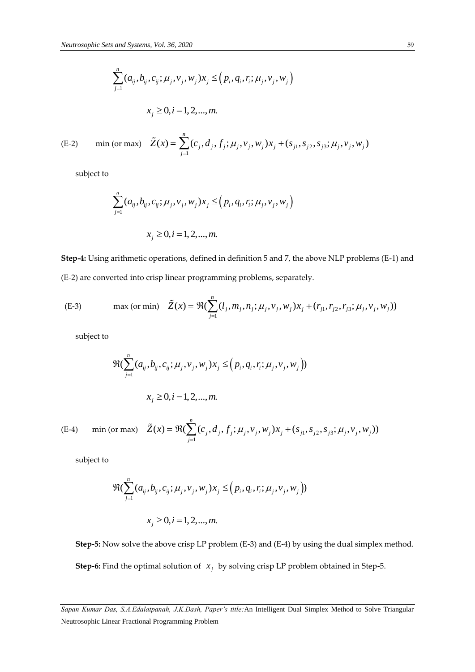$$
\sum_{j=1}^{n} (a_{ij}, b_{ij}, c_{ij}; \mu_j, v_j, w_j) x_j \le (p_i, q_i, r_i; \mu_j, v_j, w_j)
$$
  

$$
x_j \ge 0, i = 1, 2, ..., m.
$$

(E-2) min (or max) 
$$
\tilde{Z}(x) = \sum_{j=1}^{n} (c_j, d_j, f_j; \mu_j, v_j, w_j) x_j + (s_{j1}, s_{j2}, s_{j3}; \mu_j, v_j, w_j)
$$

subject to

$$
\sum_{j=1}^{n} (a_{ij}, b_{ij}, c_{ij}; \mu_j, v_j, w_j) x_j \le (p_i, q_i, r_i; \mu_j, v_j, w_j)
$$
  

$$
x_j \ge 0, i = 1, 2, ..., m.
$$

**Step-4:** Using arithmetic operations, defined in definition 5 and 7, the above NLP problems (E-1) and (E-2) are converted into crisp linear programming problems, separately.

(E-3) 
$$
\max (\text{or min}) \quad \tilde{Z}(x) = \Re(\sum_{j=1}^{n} (l_j, m_j, n_j; \mu_j, v_j, w_j) x_j + (r_{j1}, r_{j2}, r_{j3}; \mu_j, v_j, w_j))
$$

subject to

$$
\Re(\sum_{j=1}^{n} (a_{ij}, b_{ij}, c_{ij}; \mu_j, v_j, w_j) x_j \leq (p_i, q_i, r_i; \mu_j, v_j, w_j))
$$
  

$$
x_j \geq 0, i = 1, 2, ..., m.
$$

(E-4) min (or max) 
$$
\tilde{Z}(x) = \Re(\sum_{j=1}^{n} (c_j, d_j, f_j; \mu_j, v_j, w_j) x_j + (s_{j1}, s_{j2}, s_{j3}; \mu_j, v_j, w_j))
$$

subject to

$$
\Re(\sum_{j=1}^{n} (a_{ij}, b_{ij}, c_{ij}; \mu_j, v_j, w_j) x_j \leq (p_i, q_i, r_i; \mu_j, v_j, w_j))
$$
  

$$
x_j \geq 0, i = 1, 2, ..., m.
$$

**Step-5:** Now solve the above crisp LP problem (E-3) and (E-4) by using the dual simplex method. **Step-6:** Find the optimal solution of  $x_j$  by solving crisp LP problem obtained in Step-5.

*Sapan Kumar Das, S.A.Edalatpanah, J.K.Dash, Paper's title:*An Intelligent Dual Simplex Method to Solve Triangular Neutrosophic Linear Fractional Programming Problem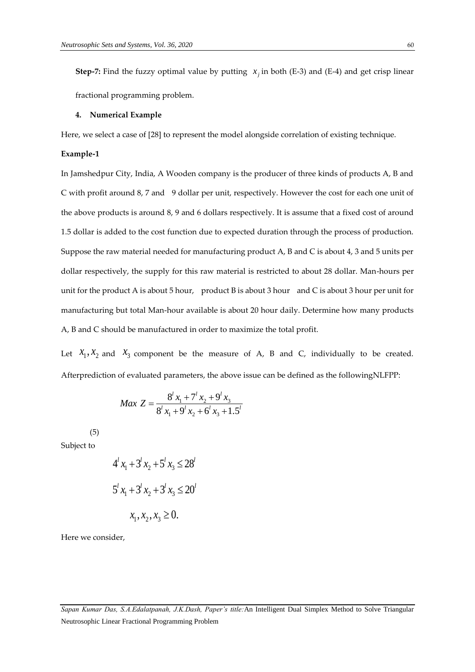**Step-7:** Find the fuzzy optimal value by putting  $x_j$  in both (E-3) and (E-4) and get crisp linear fractional programming problem.

#### **4. Numerical Example**

Here, we select a case of [28] to represent the model alongside correlation of existing technique.

## **Example-1**

In Jamshedpur City, India, A Wooden company is the producer of three kinds of products A, B and C with profit around 8, 7 and 9 dollar per unit, respectively. However the cost for each one unit of the above products is around 8, 9 and 6 dollars respectively. It is assume that a fixed cost of around 1.5 dollar is added to the cost function due to expected duration through the process of production. Suppose the raw material needed for manufacturing product A, B and C is about 4, 3 and 5 units per dollar respectively, the supply for this raw material is restricted to about 28 dollar. Man-hours per unit for the product A is about 5 hour, product B is about 3 hour and C is about 3 hour per unit for manufacturing but total Man-hour available is about 20 hour daily. Determine how many products A, B and C should be manufactured in order to maximize the total profit.

Let  $X_1, X_2$  and  $X_3$  component be the measure of A, B and C, individually to be created. Afterprediction of evaluated parameters, the above issue can be defined as the followingNLFPP:

$$
Max Z = \frac{8^{l} x_1 + 7^{l} x_2 + 9^{l} x_3}{8^{l} x_1 + 9^{l} x_2 + 6^{l} x_3 + 1.5^{l}}
$$

(5)

Subject to

$$
4l x1 + 3l x2 + 5l x3 \le 28l
$$
  

$$
5l x1 + 3l x2 + 3l x3 \le 20l
$$
  

$$
x1, x2, x3 \ge 0.
$$

Here we consider,

*Sapan Kumar Das, S.A.Edalatpanah, J.K.Dash, Paper's title:*An Intelligent Dual Simplex Method to Solve Triangular Neutrosophic Linear Fractional Programming Problem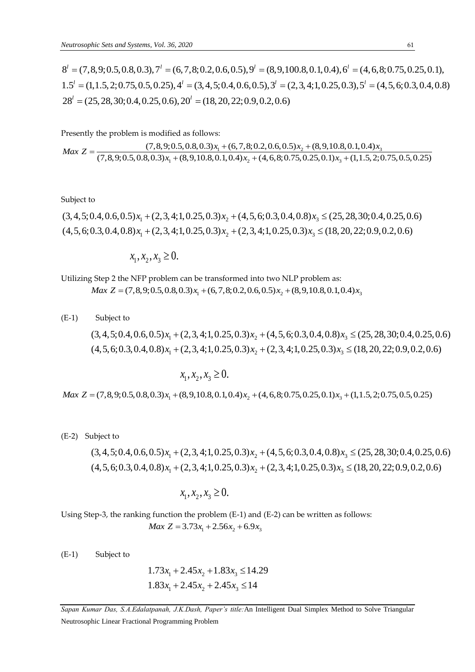Neutrophic Research Extra (7,8,9,0.5,0.0,0.3),7 (8,9,100,8,0,1,0.4),6 (4,6,8;0.75,0.25,0.1)<br>
1.5 = (1,4,5,2,0,5,0,4,2,0,4,2,4 = (3,4,5,0,4,0,6,0,7)," = (2,3,4,1,0,25,0,3)," = (4,5,6,0,3,0,4,0,1<br>
23 = (25,2,3,9,0,5,0,5,0,2 Neutrosophic Sets and Systems, Vol. 36, 2020<br>  $8^l = (7,8,9;0.5,0.8,0.3), 7^l = (6,7,8;0.2,0.6,0.5), 9^l = (8,9,100.8,0.1,0.4), 6^l = (4,6,8;0.75,0.25,0.1),$ <br>  $1.5^l = (1,1.5,2;0.75,0.5,0.25), 4^l = (3,4,5;0.4,0.6,0.5), 3^l = (2,3,4;1,0.25,0$  $8<sup>1</sup> = (7,8,9;0.5,0.8,0.3), 7<sup>1</sup> = (6,7,8;0.2,0.6,0.5), 9<sup>1</sup> = (8,9,100.8,0.1,0.4), 6<sup>1</sup> = (4,1.5,2;0.75,0.5,0.25), 4<sup>1</sup> = (3,4,5;0.4,0.6,0.5), 3<sup>1</sup> = (2,3,4;1,0.25,0.3), 5<sup>1</sup> = (25,28,30;0.4,0.25,0.6), 20<sup>1</sup> =$ *l eutrosophic Sets and Systems, Vol. 36, 2020*<br> $l = (7, 8, 9; 0.5, 0.8, 0.3), 7<sup>1</sup> = (6, 7, 8; 0.2, 0.6, 0.5), 9<sup>1</sup> = (8, 9, 100.8, 0.1, 0.4), 6<sup>1</sup>$  $l = (25, 28, 30; 0.4, 0.25, 0.6), 20<sup>l</sup> =$ trosophic Sets and Systems, Vol. 36, 2020<br>=  $(7,8,9;0.5,0.8,0.3), 7' = (6,7,8;0.2,0.6,0.5), 9' = (8,9,100.8,0.1,0.4), 6' = (4,6,8;0.75,0.2)$ bsophic Sets and Systems, Vol. 36, 2020<br>
(7, 8, 9; 0.5, 0.8, 0.3), 7<sup>1</sup> = (6, 7, 8; 0.2, 0.6, 0.5), 9<sup>1</sup> = (8, 9, 100.8, 0.1, 0.4), 6<sup>1</sup> = (4, 6, 8; 0.75, 0.25, 0.<br>
= (1, 1.5, 2; 0.75, 0.5, 0.25), 4<sup>1</sup> = (3, 4, 5; 0.4, 0.  $(7,8,9;0.5,0.8,0.3),7<sup>1</sup> = (6,7,8;0.2,0.6,0.5),9<sup>1</sup> = (8,9,1)<sup>1</sup>$ <br>= (1,1.5,2;0.75,0.5,0.25),4<sup>1</sup> = (3,4,5;0.4,0.6,0.5),3<sup>1</sup> = (<br>= (25,28,30;0.4,0.25,0.6),20<sup>1</sup> = (18,20,22;0.9,0.2,0.6)

Presently the problem is modified as follows:

$$
28' = (25, 28, 30; 0.4, 0.25, 0.6), 20' = (18, 20, 22; 0.9, 0.2, 0.6)
$$
  
Presently the problem is modified as follows:  

$$
Max \ Z = \frac{(7, 8, 9; 0.5, 0.8, 0.3)x_1 + (6, 7, 8; 0.2, 0.6, 0.5)x_2 + (8, 9, 10.8, 0.1, 0.4)x_3}{(7, 8, 9; 0.5, 0.8, 0.3)x_1 + (8, 9, 10.8, 0.1, 0.4)x_2 + (4, 6, 8; 0.75, 0.25, 0.1)x_3 + (1, 1.5, 2; 0.75, 0.5, 0.25)}
$$

Subject to

Subject to  
\n
$$
(3, 4, 5; 0.4, 0.6, 0.5)x_1 + (2, 3, 4; 1, 0.25, 0.3)x_2 + (4, 5, 6; 0.3, 0.4, 0.8)x_3 \le (25, 28, 30; 0.4, 0.25, 0.6)
$$
\n
$$
(4, 5, 6; 0.3, 0.4, 0.8)x_1 + (2, 3, 4; 1, 0.25, 0.3)x_2 + (2, 3, 4; 1, 0.25, 0.3)x_3 \le (18, 20, 22; 0.9, 0.2, 0.6)
$$

 $x_1, x_2, x_3 \geq 0.$ 

Utilizing Step 2 the NFP problem can be transformed into two NLP problem as:

 $Max Z = (7,8,9;0.5,0.8,0.3)x_1 + (6,7,8;0.2,0.6,0.5)x_2 + (8,9,10.8,0.1,0.4)x_3$ 

(E-1) Subject to Max Z = (7,8,9;0.5,0.8,0.3) $x_1$  + (6,7,8;0.2,0.6,0.5) $x_2$  + (8,9,10.8,0.1,0.4) $x_3$ <br>
Subject to<br>
(3,4,5;0.4,0.6,0.5) $x_1$  + (2,3,4;1,0.25,0.3) $x_2$  + (4,5,6;0.3,0.4,0.8) $x_3 \le (25, 28, 30; 0.4, 0.25, 0.6)$ <br>
(4,5,6;0,3,0, Subject to<br>
(3, 4, 5; 0.4, 0.6, 0.5)  $x_1 + (2,3,4;1,0.25,0.3) x_2 + (4,5,6;0.3,0.4,0.8) x_3 \le (25,28,30;0.4,0.25,0.4)$ <br>
(4, 5, 6; 0.3, 0.4, 0.8)  $x_1 + (2,3,4;1,0.25,0.3) x_2 + (2,3,4;1,0.25,0.3) x_3 \le (18,20,22;0.9,0.2,0.6)$  $(4, 5, 6; 0.3, 0.4, 0.8)x_1 + (2, 3, 4; 1, 0.25, 0.3)x_2 + (2, 3, 4; 1, 0.25, 0.3)x_3 \le (18, 20, 22; 0.9, 0.2, 0.$ <br> $x_1, x_2, x_3 \ge 0.$ <br>Max  $Z = (7, 8, 9; 0.5, 0.8, 0.3)x_1 + (8, 9, 10.8, 0.1, 0.4)x_2 + (4, 6, 8; 0.75, 0.25, 0.1)x_3 + (1, 1.$ 

$$
x_1, x_2, x_3 \ge 0.
$$

(E-2) Subject to

1 bject to<br>
(3,4,5;0.4,0.6,0.5)  $x_1 + (2,3,4;1,0.25,0.3) x_2 + (4,5,6;0.3,0.4,0.8) x_3 \le (25,28,30;0.4,0.25,0.6)$ <br>
(4.5,6;0,3,0,4,0,8)  $x_1 + (2,3,4;1,0.25,0.3) x_2 + (4,5,6;0.3,0.4,0.8) x_3 \le (25,28,30;0.4,0.25,0.6)$ ubject to<br>
(3, 4, 5; 0.4, 0.6, 0.5)  $x_1 + (2,3,4;1,0.25,0.3) x_2 + (4,5,6;0.3,0.4,0.8) x_3 \le (25,28,30;0.4,0.25,0.4)$ <br>
(4, 5, 6; 0.3, 0.4, 0.8)  $x_1 + (2,3,4;1,0.25,0.3) x_2 + (2,3,4;1,0.25,0.3) x_3 \le (18,20,22;0.9,0.2,0.6)$ 

$$
x_1, x_2, x_3 \ge 0.
$$

Using Step-3, the ranking function the problem (E-1) and (E-2) can be written as follows: *Max*  $Z = 3.73x_1 + 2.56x_2 + 6.9x_3$ 

(E-1) Subject to

$$
1.73x_1 + 2.45x_2 + 1.83x_3 \le 14.29
$$
  

$$
1.83x_1 + 2.45x_2 + 2.45x_3 \le 14
$$

*Sapan Kumar Das, S.A.Edalatpanah, J.K.Dash, Paper's title:*An Intelligent Dual Simplex Method to Solve Triangular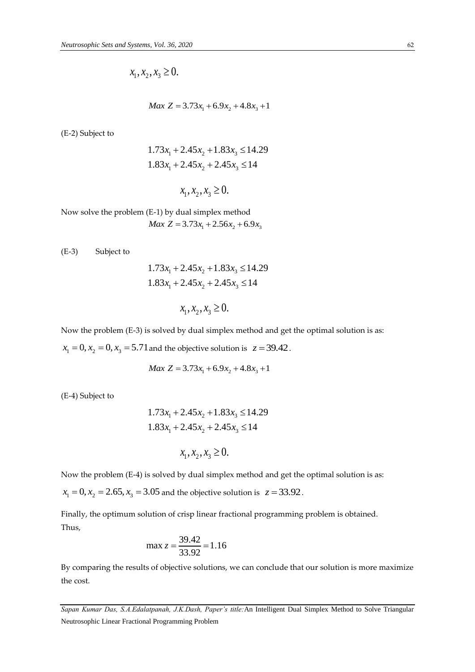$$
x_1, x_2, x_3 \ge 0.
$$

$$
Max\ Z = 3.73x_1 + 6.9x_2 + 4.8x_3 + 1
$$

(E-2) Subject to

$$
1.73x_1 + 2.45x_2 + 1.83x_3 \le 14.29
$$
  

$$
1.83x_1 + 2.45x_2 + 2.45x_3 \le 14
$$

 $x_1, x_2, x_3 \geq 0.$ 

Now solve the problem (E-1) by dual simplex method *Max*  $Z = 3.73x_1 + 2.56x_2 + 6.9x_3$ 

(E-3) Subject to

$$
1.73x_1 + 2.45x_2 + 1.83x_3 \le 14.29
$$
  

$$
1.83x_1 + 2.45x_2 + 2.45x_3 \le 14
$$

$$
x_1, x_2, x_3 \ge 0.
$$

Now the problem (E-3) is solved by dual simplex method and get the optimal solution is as:

 $x_1 = 0, x_2 = 0, x_3 = 5.71$  and the objective solution is  $z = 39.42$ .

$$
Max\ Z = 3.73x_1 + 6.9x_2 + 4.8x_3 + 1
$$

(E-4) Subject to

$$
1.73x_1 + 2.45x_2 + 1.83x_3 \le 14.29
$$
  

$$
1.83x_1 + 2.45x_2 + 2.45x_3 \le 14
$$

$$
x_1, x_2, x_3 \ge 0.
$$

Now the problem (E-4) is solved by dual simplex method and get the optimal solution is as:

 $x_1 = 0, x_2 = 2.65, x_3 = 3.05$  and the objective solution is  $z = 33.92$ .

Finally, the optimum solution of crisp linear fractional programming problem is obtained. Thus,

$$
\max z = \frac{39.42}{33.92} = 1.16
$$

By comparing the results of objective solutions, we can conclude that our solution is more maximize the cost.

*Sapan Kumar Das, S.A.Edalatpanah, J.K.Dash, Paper's title:*An Intelligent Dual Simplex Method to Solve Triangular Neutrosophic Linear Fractional Programming Problem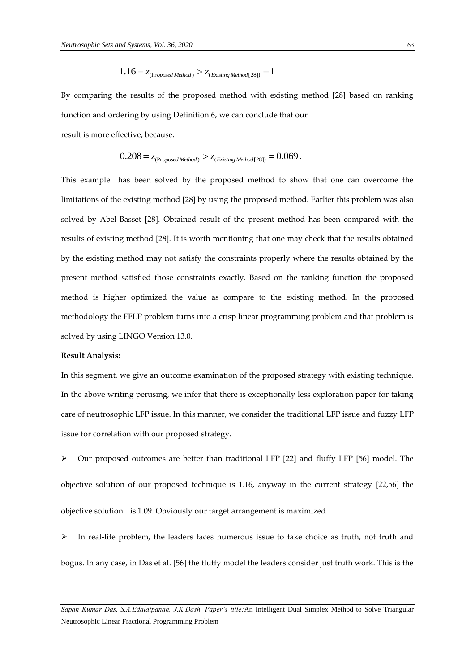$$
1.16 = z_{(Proposed Method)} > z_{(Evisting Method[28])} = 1
$$

By comparing the results of the proposed method with existing method [28] based on ranking function and ordering by using Definition 6, we can conclude that our result is more effective, because:

$$
\begin{aligned} \text{effective, because:} \\ 0.208 &= z_{\text{(Proposed Method)}} > z_{\text{(Existing Method[28])}} = 0.069 \,. \end{aligned}
$$

This example has been solved by the proposed method to show that one can overcome the limitations of the existing method [28] by using the proposed method. Earlier this problem was also solved by Abel-Basset [28]. Obtained result of the present method has been compared with the results of existing method [28]. It is worth mentioning that one may check that the results obtained by the existing method may not satisfy the constraints properly where the results obtained by the present method satisfied those constraints exactly. Based on the ranking function the proposed method is higher optimized the value as compare to the existing method. In the proposed methodology the FFLP problem turns into a crisp linear programming problem and that problem is solved by using LINGO Version 13.0.

#### **Result Analysis:**

In this segment, we give an outcome examination of the proposed strategy with existing technique. In the above writing perusing, we infer that there is exceptionally less exploration paper for taking care of neutrosophic LFP issue. In this manner, we consider the traditional LFP issue and fuzzy LFP issue for correlation with our proposed strategy.

 Our proposed outcomes are better than traditional LFP [22] and fluffy LFP [56] model. The objective solution of our proposed technique is 1.16, anyway in the current strategy [22,56] the objective solution is 1.09. Obviously our target arrangement is maximized.

 In real-life problem, the leaders faces numerous issue to take choice as truth, not truth and bogus. In any case, in Das et al. [56] the fluffy model the leaders consider just truth work. This is the

*Sapan Kumar Das, S.A.Edalatpanah, J.K.Dash, Paper's title:*An Intelligent Dual Simplex Method to Solve Triangular Neutrosophic Linear Fractional Programming Problem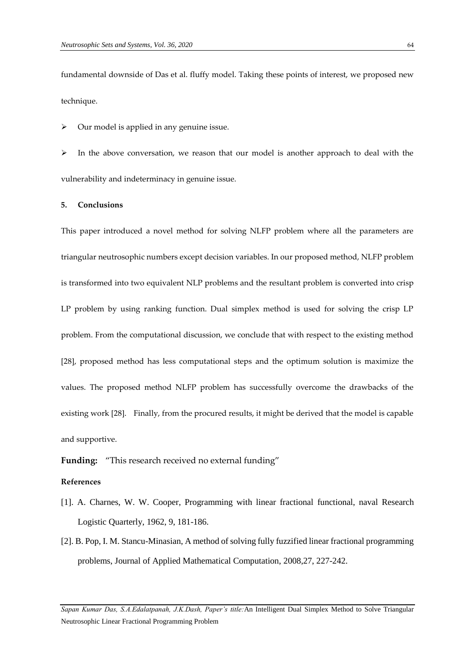fundamental downside of Das et al. fluffy model. Taking these points of interest, we proposed new technique.

Our model is applied in any genuine issue.

 $\triangleright$  In the above conversation, we reason that our model is another approach to deal with the vulnerability and indeterminacy in genuine issue.

## **5. Conclusions**

This paper introduced a novel method for solving NLFP problem where all the parameters are triangular neutrosophic numbers except decision variables. In our proposed method, NLFP problem is transformed into two equivalent NLP problems and the resultant problem is converted into crisp LP problem by using ranking function. Dual simplex method is used for solving the crisp LP problem. From the computational discussion, we conclude that with respect to the existing method [28], proposed method has less computational steps and the optimum solution is maximize the values. The proposed method NLFP problem has successfully overcome the drawbacks of the existing work [28]. Finally, from the procured results, it might be derived that the model is capable and supportive.

**Funding:** "This research received no external funding"

## **References**

- [1]. A. Charnes, W. W. Cooper, Programming with linear fractional functional, naval Research Logistic Quarterly, 1962, 9, 181-186.
- [2]. B. Pop, I. M. Stancu-Minasian, A method of solving fully fuzzified linear fractional programming problems, Journal of Applied Mathematical Computation, 2008,27, 227-242.

*Sapan Kumar Das, S.A.Edalatpanah, J.K.Dash, Paper's title:*An Intelligent Dual Simplex Method to Solve Triangular Neutrosophic Linear Fractional Programming Problem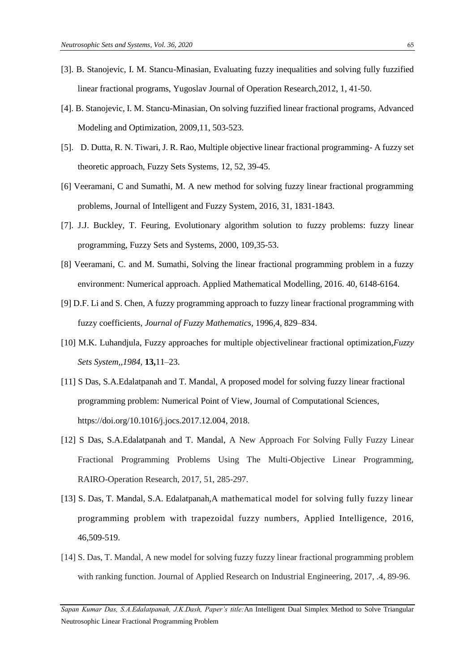- [3]. B. Stanojevic, I. M. Stancu-Minasian, Evaluating fuzzy inequalities and solving fully fuzzified linear fractional programs, Yugoslav Journal of Operation Research,2012, 1, 41-50.
- [4]. B. Stanojevic, I. M. Stancu-Minasian, On solving fuzzified linear fractional programs, Advanced Modeling and Optimization, 2009,11, 503-523.
- [5]. D. Dutta, R. N. Tiwari, J. R. Rao, Multiple objective linear fractional programming- A fuzzy set theoretic approach, Fuzzy Sets Systems, 12, 52, 39-45.
- [6] Veeramani, C and Sumathi, M. A new method for solving fuzzy linear fractional programming problems, Journal of Intelligent and Fuzzy System, 2016, 31, 1831-1843.
- [7]. J.J. Buckley, T. Feuring, Evolutionary algorithm solution to fuzzy problems: fuzzy linear programming, Fuzzy Sets and Systems, 2000, 109,35-53.
- [8] Veeramani, C. and M. Sumathi, Solving the linear fractional programming problem in a fuzzy environment: Numerical approach. Applied Mathematical Modelling, 2016. 40, 6148-6164.
- [9] D.F. Li and S. Chen, A fuzzy programming approach to fuzzy linear fractional programming with fuzzy coefficients, *Journal of Fuzzy Mathematics,* 1996,4, 829–834.
- [10] M.K. Luhandjula, Fuzzy approaches for multiple objectivelinear fractional optimization,*Fuzzy Sets System,,1984,* **13,**11–23.
- [11] S Das, S.A.Edalatpanah and T. Mandal, A proposed model for solving fuzzy linear fractional programming problem: Numerical Point of View, Journal of Computational Sciences[,](https://doi.org/10.1016/j.jocs.2017.12.004) [https://doi.org/10.1016/j.jocs.2017.12.004,](https://doi.org/10.1016/j.jocs.2017.12.004) 2018.
- [12] S Das, S.A.Edalatpanah and T. Mandal, A New Approach For Solving Fully Fuzzy Linear Fractional Programming Problems Using The Multi-Objective Linear Programming, RAIRO-Operation Research, 2017, 51, 285-297.
- [13] S. Das, T. Mandal, S.A. Edalatpanah,A mathematical model for solving fully fuzzy linear programming problem with trapezoidal fuzzy numbers, Applied Intelligence, 2016, 46,509-519.
- [14] S. Das, T. Mandal, A new model for solving fuzzy fuzzy linear fractional programming problem with ranking function. Journal of Applied Research on Industrial Engineering, 2017, .4, 89-96.

*Sapan Kumar Das, S.A.Edalatpanah, J.K.Dash, Paper's title:*An Intelligent Dual Simplex Method to Solve Triangular Neutrosophic Linear Fractional Programming Problem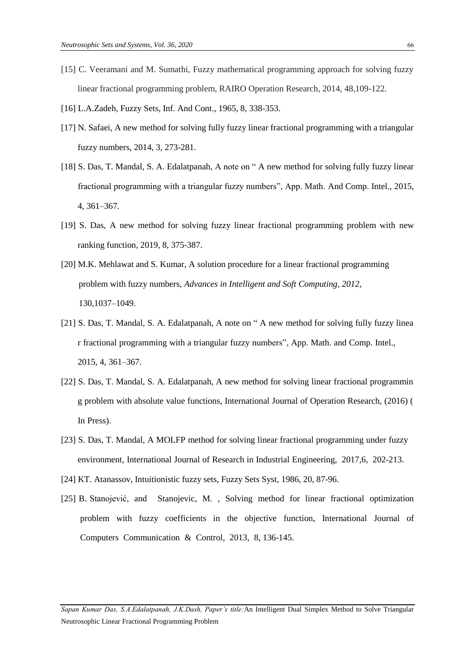- [15] C. Veeramani and M. Sumathi, Fuzzy mathematical programming approach for solving fuzzy linear fractional programming problem, RAIRO Operation Research, 2014, 48,109-122.
- [16] L.A.Zadeh, Fuzzy Sets, Inf. And Cont., 1965, 8, 338-353.
- [17] N. Safaei, A new method for solving fully fuzzy linear fractional programming with a triangular fuzzy numbers, 2014, 3, 273-281.
- [18] S. Das, T. Mandal, S. A. Edalatpanah, A note on " A new method for solving fully fuzzy linear fractional programming with a triangular fuzzy numbers", App. Math. And Comp. Intel., 2015, 4, 361–367.
- [19] S. Das, A new method for solving fuzzy linear fractional programming problem with new ranking function, 2019, 8, 375-387.
- [20] M.K. Mehlawat and S. Kumar, A solution procedure for a linear fractional programming problem with fuzzy numbers, *Advances in Intelligent and Soft Computing, 2012,* 130,1037–1049.
- [21] S. Das, T. Mandal, S. A. Edalatpanah, A note on "A new method for solving fully fuzzy linea r fractional programming with a triangular fuzzy numbers", App. Math. and Comp. Intel., 2015, 4, 361–367.
- [22] S. Das, T. Mandal, S. A. Edalatpanah, A new method for solving linear fractional programmin g problem with absolute value functions, International Journal of Operation Research, (2016) ( In Press).
- [23] S. Das, T. Mandal, A MOLFP method for solving linear fractional programming under fuzzy environment, International Journal of Research in Industrial Engineering, 2017,6, 202-213.
- [24] KT. Atanassov, Intuitionistic fuzzy sets, Fuzzy Sets Syst, 1986, 20, 87-96.
- [25] B. Stanojević, and Stanojevic, M., Solving method for linear fractional optimization problem with fuzzy coefficients in the objective function, International Journal of Computers Communication & Control, 2013, 8, 136-145.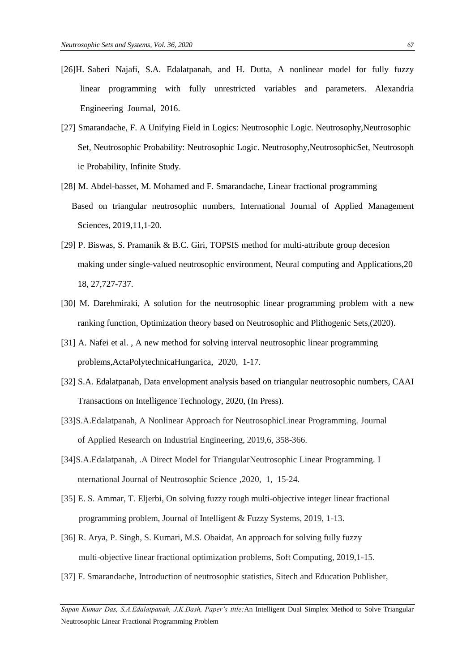- [26]H. Saberi Najafi, S.A. Edalatpanah, and H. Dutta, A nonlinear model for fully fuzzy linear programming with fully unrestricted variables and parameters. Alexandria Engineering Journal, 2016.
- [27] Smarandache, F. A Unifying Field in Logics: Neutrosophic Logic. Neutrosophy,Neutrosophic Set, Neutrosophic Probability: Neutrosophic Logic. Neutrosophy,NeutrosophicSet, Neutrosoph ic Probability, Infinite Study.
- [28] M. Abdel-basset, M. Mohamed and F. Smarandache, Linear fractional programming Based on triangular neutrosophic numbers, International Journal of Applied Management Sciences, 2019,11,1-20.
- [29] P. Biswas, S. Pramanik & B.C. Giri, TOPSIS method for multi-attribute group decesion making under single-valued neutrosophic environment, Neural computing and Applications,20 18, 27,727-737.
- [30] M. Darehmiraki, A solution for the neutrosophic linear programming problem with a new ranking function, Optimization theory based on Neutrosophic and Plithogenic Sets,(2020).
- [31] A. Nafei et al., A new method for solving interval neutrosophic linear programming problems,ActaPolytechnicaHungarica, 2020, 1-17.
- [32] S.A. Edalatpanah, Data envelopment analysis based on triangular neutrosophic numbers, CAAI Transactions on Intelligence Technology, 2020, (In Press).
- [33]S.A.Edalatpanah, A Nonlinear Approach for NeutrosophicLinear Programming. Journal of Applied Research on Industrial Engineering, 2019,6, 358-366.
- [34]S.A.Edalatpanah, .A Direct Model for TriangularNeutrosophic Linear Programming. I nternational Journal of Neutrosophic Science , 2020, 1, 15-24.
- [35] E. S. Ammar, T. Eljerbi, On solving fuzzy rough multi-objective integer linear fractional programming problem, Journal of Intelligent & Fuzzy Systems, 2019, 1-13.
- [36] R. Arya, P. Singh, S. Kumari, M.S. Obaidat, An approach for solving fully fuzzy multi-objective linear fractional optimization problems, Soft Computing, 2019,1-15.
- [37] F. Smarandache, Introduction of neutrosophic statistics, Sitech and Education Publisher,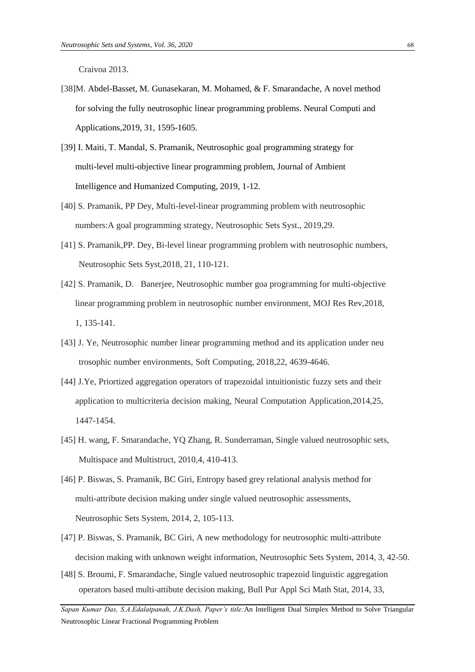Craivoa 2013.

- [38]M. Abdel-Basset, M. Gunasekaran, M. Mohamed, & F. Smarandache, A novel method for solving the fully neutrosophic linear programming problems. Neural Computi and Applications,2019, 31, 1595-1605.
- [39] I. Maiti, T. Mandal, S. Pramanik, Neutrosophic goal programming strategy for multi-level multi-objective linear programming problem, Journal of Ambient Intelligence and Humanized Computing, 2019, 1-12.
- [40] S. Pramanik, PP Dey, Multi-level-linear programming problem with neutrosophic numbers:A goal programming strategy, Neutrosophic Sets Syst., 2019,29.
- [41] S. Pramanik,PP. Dey, Bi-level linear programming problem with neutrosophic numbers, Neutrosophic Sets Syst,2018, 21, 110-121.
- [42] S. Pramanik, D. Banerjee, Neutrosophic number goa programming for multi-objective linear programming problem in neutrosophic number environment, MOJ Res Rev,2018, 1, 135-141.
- [43] J. Ye, Neutrosophic number linear programming method and its application under neu trosophic number environments, Soft Computing, 2018,22, 4639-4646.
- [44] J.Ye, Priortized aggregation operators of trapezoidal intuitionistic fuzzy sets and their application to multicriteria decision making, Neural Computation Application,2014,25, 1447-1454.
- [45] H. wang, F. Smarandache, YQ Zhang, R. Sunderraman, Single valued neutrosophic sets, Multispace and Multistruct, 2010,4, 410-413.
- [46] P. Biswas, S. Pramanik, BC Giri, Entropy based grey relational analysis method for multi-attribute decision making under single valued neutrosophic assessments, Neutrosophic Sets System, 2014, 2, 105-113.
- [47] P. Biswas, S. Pramanik, BC Giri, A new methodology for neutrosophic multi-attribute decision making with unknown weight information, Neutrosophic Sets System, 2014, 3, 42-50.
- [48] S. Broumi, F. Smarandache, Single valued neutrosophic trapezoid linguistic aggregation operators based multi-attibute decision making, Bull Pur Appl Sci Math Stat, 2014, 33,

*Sapan Kumar Das, S.A.Edalatpanah, J.K.Dash, Paper's title:*An Intelligent Dual Simplex Method to Solve Triangular Neutrosophic Linear Fractional Programming Problem